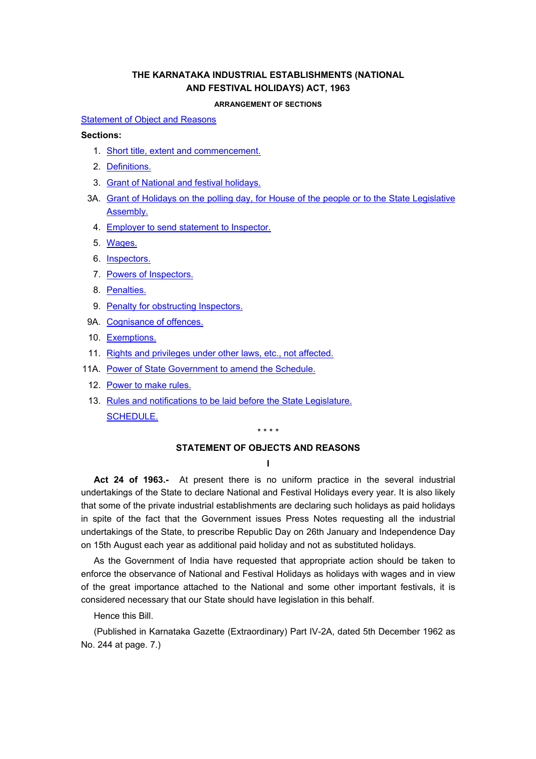# **THE KARNATAKA INDUSTRIAL ESTABLISHMENTS (NATIONAL AND FESTIVAL HOLIDAYS) ACT, 1963**

#### **ARRANGEMENT OF SECTIONS**

#### <span id="page-0-0"></span>[Statement of Object and Reasons](#page-0-0)

### **Sections:**

- 1. [Short title, extent and commencement.](#page-3-0)
- 2. [Definitions.](#page-3-0)
- 3. [Grant of National and festival holidays.](#page-4-0)
- 3A. [Grant of Holidays on the polling day, for House of the people or to the State Legislative](#page-4-0)  [Assembly.](#page-4-0)
	- 4. [Employer to send statement to Inspector.](#page-5-0)
	- 5. [Wages.](#page-5-0)
	- 6. [Inspectors.](#page-5-0)
	- 7. [Powers of Inspectors.](#page-5-0)
	- 8. [Penalties.](#page-6-0)
	- 9. [Penalty for obstructing Inspectors.](#page-6-0)
- 9A. [Cognisance of offences.](#page-6-0)
- 10. [Exemptions.](#page-6-0)
- 11. [Rights and privileges under other laws, etc., not affected.](#page-6-0)
- 11A. [Power of State Government to amend the Schedule.](#page-6-0)
	- 12. [Power to make rules.](#page-6-0)
	- 13. [Rules and notifications to be laid before the State Legislature.](#page-7-0) [SCHEDULE.](#page-7-0)

\* \* \* \*

## **STATEMENT OF OBJECTS AND REASONS**

**I** 

**Act 24 of 1963.-** At present there is no uniform practice in the several industrial undertakings of the State to declare National and Festival Holidays every year. It is also likely that some of the private industrial establishments are declaring such holidays as paid holidays in spite of the fact that the Government issues Press Notes requesting all the industrial undertakings of the State, to prescribe Republic Day on 26th January and Independence Day on 15th August each year as additional paid holiday and not as substituted holidays.

As the Government of India have requested that appropriate action should be taken to enforce the observance of National and Festival Holidays as holidays with wages and in view of the great importance attached to the National and some other important festivals, it is considered necessary that our State should have legislation in this behalf.

Hence this Bill.

(Published in Karnataka Gazette (Extraordinary) Part IV-2A, dated 5th December 1962 as No. 244 at page. 7.)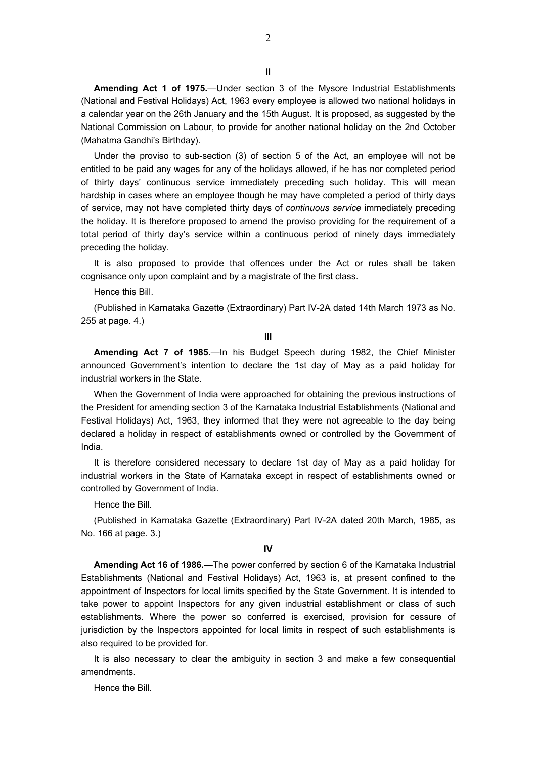**II** 

2

**Amending Act 1 of 1975.**—Under section 3 of the Mysore Industrial Establishments (National and Festival Holidays) Act, 1963 every employee is allowed two national holidays in a calendar year on the 26th January and the 15th August. It is proposed, as suggested by the National Commission on Labour, to provide for another national holiday on the 2nd October (Mahatma Gandhi's Birthday).

Under the proviso to sub-section (3) of section 5 of the Act, an employee will not be entitled to be paid any wages for any of the holidays allowed, if he has nor completed period of thirty days' continuous service immediately preceding such holiday. This will mean hardship in cases where an employee though he may have completed a period of thirty days of service, may not have completed thirty days of *continuous service* immediately preceding the holiday. It is therefore proposed to amend the proviso providing for the requirement of a total period of thirty day's service within a continuous period of ninety days immediately preceding the holiday.

It is also proposed to provide that offences under the Act or rules shall be taken cognisance only upon complaint and by a magistrate of the first class.

Hence this Bill.

(Published in Karnataka Gazette (Extraordinary) Part IV-2A dated 14th March 1973 as No. 255 at page. 4.)

**III** 

**Amending Act 7 of 1985.**—In his Budget Speech during 1982, the Chief Minister announced Government's intention to declare the 1st day of May as a paid holiday for industrial workers in the State.

When the Government of India were approached for obtaining the previous instructions of the President for amending section 3 of the Karnataka Industrial Establishments (National and Festival Holidays) Act, 1963, they informed that they were not agreeable to the day being declared a holiday in respect of establishments owned or controlled by the Government of India.

It is therefore considered necessary to declare 1st day of May as a paid holiday for industrial workers in the State of Karnataka except in respect of establishments owned or controlled by Government of India.

Hence the Bill.

(Published in Karnataka Gazette (Extraordinary) Part IV-2A dated 20th March, 1985, as No. 166 at page. 3.)

**IV** 

**Amending Act 16 of 1986.**—The power conferred by section 6 of the Karnataka Industrial Establishments (National and Festival Holidays) Act, 1963 is, at present confined to the appointment of Inspectors for local limits specified by the State Government. It is intended to take power to appoint Inspectors for any given industrial establishment or class of such establishments. Where the power so conferred is exercised, provision for cessure of jurisdiction by the Inspectors appointed for local limits in respect of such establishments is also required to be provided for.

It is also necessary to clear the ambiguity in section 3 and make a few consequential amendments.

Hence the Bill.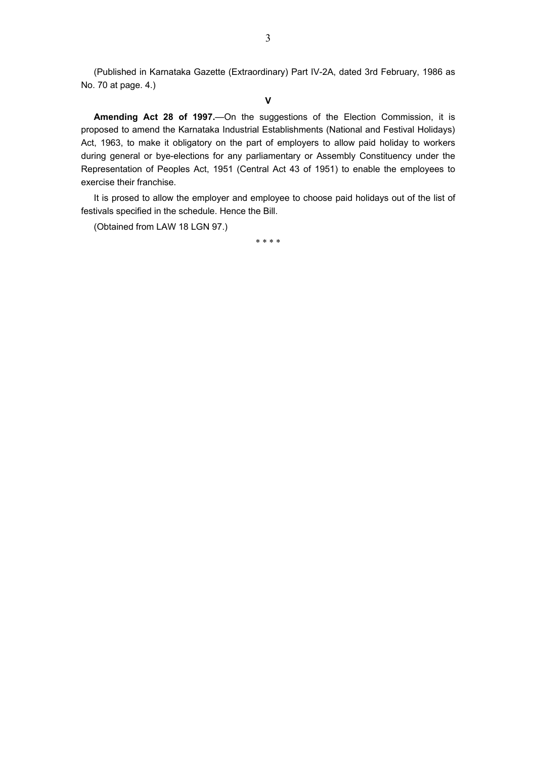(Published in Karnataka Gazette (Extraordinary) Part IV-2A, dated 3rd February, 1986 as No. 70 at page. 4.)

**V** 

**Amending Act 28 of 1997.**—On the suggestions of the Election Commission, it is proposed to amend the Karnataka Industrial Establishments (National and Festival Holidays) Act, 1963, to make it obligatory on the part of employers to allow paid holiday to workers during general or bye-elections for any parliamentary or Assembly Constituency under the Representation of Peoples Act, 1951 (Central Act 43 of 1951) to enable the employees to exercise their franchise.

It is prosed to allow the employer and employee to choose paid holidays out of the list of festivals specified in the schedule. Hence the Bill.

(Obtained from LAW 18 LGN 97.)

\* \* \* \*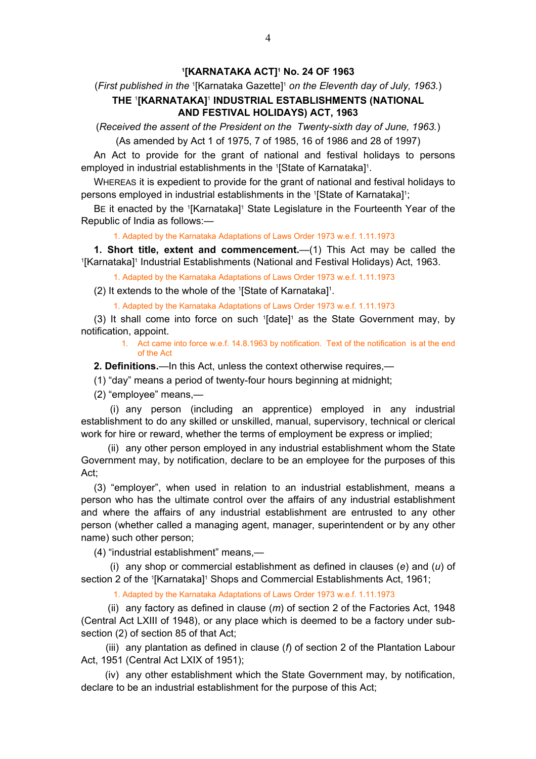### **1 [KARNATAKA ACT]1 No. 24 OF 1963**

# <span id="page-3-0"></span>(First published in the <sup>1</sup>[Karnataka Gazette]<sup>1</sup> on the Eleventh day of July, 1963.) **THE** <sup>1</sup> **[KARNATAKA]**<sup>1</sup>  **INDUSTRIAL ESTABLISHMENTS (NATIONAL AND FESTIVAL HOLIDAYS) ACT, 1963**

(*Received the assent of the President on the Twenty-sixth day of June, 1963.*)

(As amended by Act 1 of 1975, 7 of 1985, 16 of 1986 and 28 of 1997)

An Act to provide for the grant of national and festival holidays to persons employed in industrial establishments in the <sup>1</sup>[State of Karnataka]<sup>1</sup>.

WHEREAS it is expedient to provide for the grant of national and festival holidays to persons employed in industrial establishments in the <sup>1</sup>[State of Karnataka]<sup>1</sup>;

BE it enacted by the <sup>1</sup>[Karnataka]<sup>1</sup> State Legislature in the Fourteenth Year of the Republic of India as follows:—

1. Adapted by the Karnataka Adaptations of Laws Order 1973 w.e.f. 1.11.1973

**1. Short title, extent and commencement.**—(1) This Act may be called the 1 [Karnataka]<sup>1</sup> Industrial Establishments (National and Festival Holidays) Act, 1963.

1. Adapted by the Karnataka Adaptations of Laws Order 1973 w.e.f. 1.11.1973

(2) It extends to the whole of the 1 [State of Karnataka]1 .

1. Adapted by the Karnataka Adaptations of Laws Order 1973 w.e.f. 1.11.1973

(3) It shall come into force on such  $1$ [date]<sup>1</sup> as the State Government may, by notification, appoint.

> 1. Act came into force w.e.f. 14.8.1963 by notification. Text of the notification is at the end of the Act

**2. Definitions.**—In this Act, unless the context otherwise requires,—

(1) "day" means a period of twenty-four hours beginning at midnight;

(2) "employee" means,—

 (i) any person (including an apprentice) employed in any industrial establishment to do any skilled or unskilled, manual, supervisory, technical or clerical work for hire or reward, whether the terms of employment be express or implied;

 (ii) any other person employed in any industrial establishment whom the State Government may, by notification, declare to be an employee for the purposes of this Act;

(3) "employer", when used in relation to an industrial establishment, means a person who has the ultimate control over the affairs of any industrial establishment and where the affairs of any industrial establishment are entrusted to any other person (whether called a managing agent, manager, superintendent or by any other name) such other person;

(4) "industrial establishment" means,—

 (i) any shop or commercial establishment as defined in clauses (*e*) and (*u*) of section 2 of the <sup>1</sup>[Karnataka]<sup>1</sup> Shops and Commercial Establishments Act, 1961;

1. Adapted by the Karnataka Adaptations of Laws Order 1973 w.e.f. 1.11.1973

 (ii) any factory as defined in clause (*m*) of section 2 of the Factories Act, 1948 (Central Act LXIII of 1948), or any place which is deemed to be a factory under subsection (2) of section 85 of that Act;

 (iii) any plantation as defined in clause (*f*) of section 2 of the Plantation Labour Act, 1951 (Central Act LXIX of 1951);

 (iv) any other establishment which the State Government may, by notification, declare to be an industrial establishment for the purpose of this Act;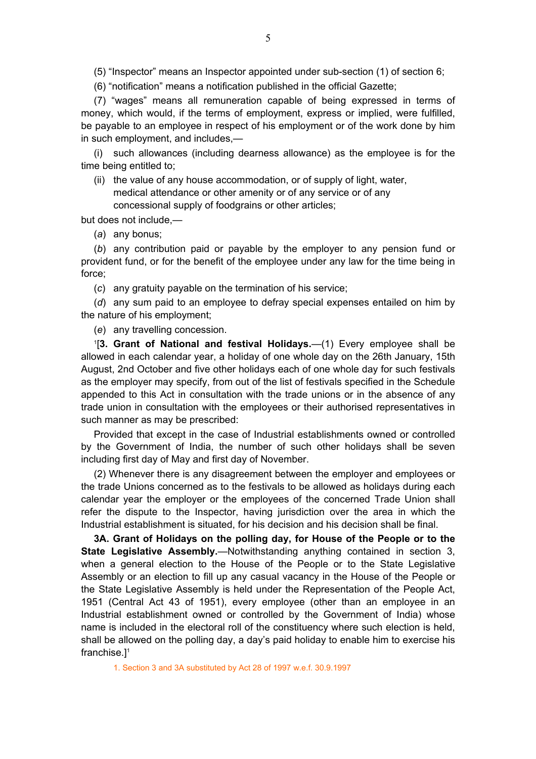<span id="page-4-0"></span>(5) "Inspector" means an Inspector appointed under sub-section (1) of section 6;

(6) "notification" means a notification published in the official Gazette;

(7) "wages" means all remuneration capable of being expressed in terms of money, which would, if the terms of employment, express or implied, were fulfilled, be payable to an employee in respect of his employment or of the work done by him in such employment, and includes,—

(i) such allowances (including dearness allowance) as the employee is for the time being entitled to;

(ii) the value of any house accommodation, or of supply of light, water, medical attendance or other amenity or of any service or of any concessional supply of foodgrains or other articles;

but does not include,—

(*a*) any bonus;

(*b*) any contribution paid or payable by the employer to any pension fund or provident fund, or for the benefit of the employee under any law for the time being in force;

(*c*) any gratuity payable on the termination of his service;

(*d*) any sum paid to an employee to defray special expenses entailed on him by the nature of his employment;

(*e*) any travelling concession.

1 [**3. Grant of National and festival Holidays.**—(1) Every employee shall be allowed in each calendar year, a holiday of one whole day on the 26th January, 15th August, 2nd October and five other holidays each of one whole day for such festivals as the employer may specify, from out of the list of festivals specified in the Schedule appended to this Act in consultation with the trade unions or in the absence of any trade union in consultation with the employees or their authorised representatives in such manner as may be prescribed:

Provided that except in the case of Industrial establishments owned or controlled by the Government of India, the number of such other holidays shall be seven including first day of May and first day of November.

(2) Whenever there is any disagreement between the employer and employees or the trade Unions concerned as to the festivals to be allowed as holidays during each calendar year the employer or the employees of the concerned Trade Union shall refer the dispute to the Inspector, having jurisdiction over the area in which the Industrial establishment is situated, for his decision and his decision shall be final.

**3A. Grant of Holidays on the polling day, for House of the People or to the State Legislative Assembly.**—Notwithstanding anything contained in section 3, when a general election to the House of the People or to the State Legislative Assembly or an election to fill up any casual vacancy in the House of the People or the State Legislative Assembly is held under the Representation of the People Act, 1951 (Central Act 43 of 1951), every employee (other than an employee in an Industrial establishment owned or controlled by the Government of India) whose name is included in the electoral roll of the constituency where such election is held, shall be allowed on the polling day, a day's paid holiday to enable him to exercise his franchise.]1

1. Section 3 and 3A substituted by Act 28 of 1997 w.e.f. 30.9.1997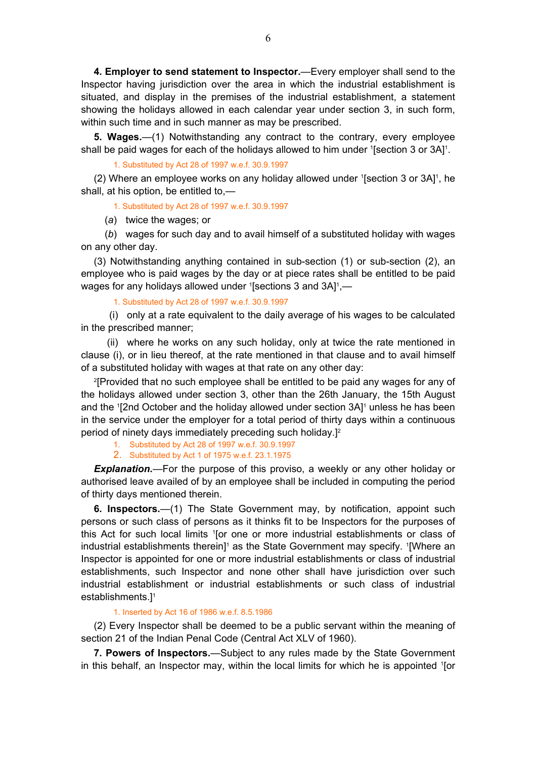<span id="page-5-0"></span>**4. Employer to send statement to Inspector.**—Every employer shall send to the Inspector having jurisdiction over the area in which the industrial establishment is situated, and display in the premises of the industrial establishment, a statement showing the holidays allowed in each calendar year under section 3, in such form, within such time and in such manner as may be prescribed.

**5. Wages.**—(1) Notwithstanding any contract to the contrary, every employee shall be paid wages for each of the holidays allowed to him under  $[$ Section 3 or 3A $]$ <sup>1</sup>.

1. Substituted by Act 28 of 1997 w.e.f. 30.9.1997

 $(2)$  Where an employee works on any holiday allowed under  $[Section 3$  or  $3A]$ <sup>1</sup>, he shall, at his option, be entitled to,—

1. Substituted by Act 28 of 1997 w.e.f. 30.9.1997

(*a*) twice the wages; or

 (*b*) wages for such day and to avail himself of a substituted holiday with wages on any other day.

(3) Notwithstanding anything contained in sub-section (1) or sub-section (2), an employee who is paid wages by the day or at piece rates shall be entitled to be paid wages for any holidays allowed under 1 [sections 3 and 3A]<sup>1</sup>,—

1. Substituted by Act 28 of 1997 w.e.f. 30.9.1997

 (i) only at a rate equivalent to the daily average of his wages to be calculated in the prescribed manner;

 (ii) where he works on any such holiday, only at twice the rate mentioned in clause (i), or in lieu thereof, at the rate mentioned in that clause and to avail himself of a substituted holiday with wages at that rate on any other day:

2 [Provided that no such employee shall be entitled to be paid any wages for any of the holidays allowed under section 3, other than the 26th January, the 15th August and the <sup>1</sup>[2nd October and the holiday allowed under section 3A]<sup>1</sup> unless he has been in the service under the employer for a total period of thirty days within a continuous period of ninety days immediately preceding such holiday.]2

1. Substituted by Act 28 of 1997 w.e.f. 30.9.1997

2. Substituted by Act 1 of 1975 w.e.f. 23.1.1975

*Explanation.*—For the purpose of this proviso, a weekly or any other holiday or authorised leave availed of by an employee shall be included in computing the period of thirty days mentioned therein.

**6. Inspectors.**—(1) The State Government may, by notification, appoint such persons or such class of persons as it thinks fit to be Inspectors for the purposes of this Act for such local limits '[or one or more industrial establishments or class of industrial establishments therein]<sup>1</sup> as the State Government may specify. <sup>1</sup>[Where an Inspector is appointed for one or more industrial establishments or class of industrial establishments, such Inspector and none other shall have jurisdiction over such industrial establishment or industrial establishments or such class of industrial establishments.]1

1. Inserted by Act 16 of 1986 w.e.f. 8.5.1986

(2) Every Inspector shall be deemed to be a public servant within the meaning of section 21 of the Indian Penal Code (Central Act XLV of 1960).

**7. Powers of Inspectors.**—Subject to any rules made by the State Government in this behalf, an Inspector may, within the local limits for which he is appointed <sup>1</sup>[or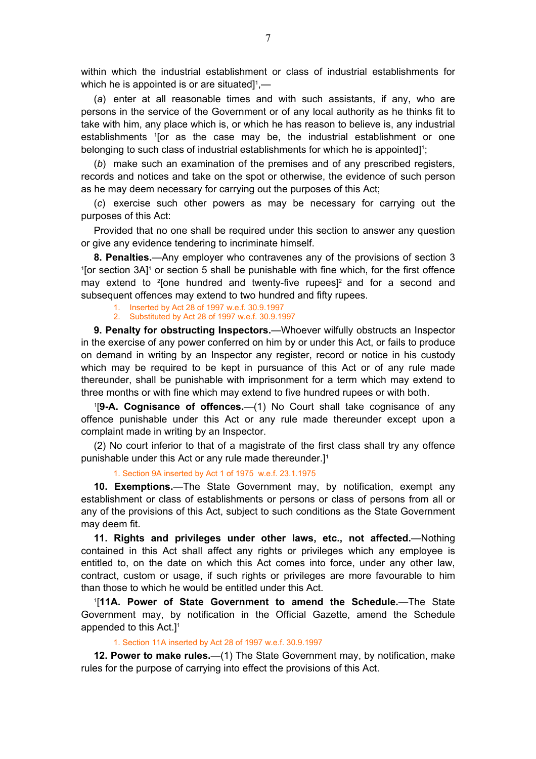<span id="page-6-0"></span>within which the industrial establishment or class of industrial establishments for which he is appointed is or are situated] $^1$ ,—

(*a*) enter at all reasonable times and with such assistants, if any, who are persons in the service of the Government or of any local authority as he thinks fit to take with him, any place which is, or which he has reason to believe is, any industrial establishments 1 [or as the case may be, the industrial establishment or one belonging to such class of industrial establishments for which he is appointed]<sup>1</sup>;

(*b*) make such an examination of the premises and of any prescribed registers, records and notices and take on the spot or otherwise, the evidence of such person as he may deem necessary for carrying out the purposes of this Act;

(*c*) exercise such other powers as may be necessary for carrying out the purposes of this Act:

Provided that no one shall be required under this section to answer any question or give any evidence tendering to incriminate himself.

**8. Penalties.**—Any employer who contravenes any of the provisions of section 3 1 [or section 3A]<sup>1</sup> or section 5 shall be punishable with fine which, for the first offence may extend to <sup>2</sup>[one hundred and twenty-five rupees]<sup>2</sup> and for a second and subsequent offences may extend to two hundred and fifty rupees.

1. Inserted by Act 28 of 1997 w.e.f. 30.9.1997

2. Substituted by Act 28 of 1997 w.e.f. 30.9.1997

**9. Penalty for obstructing Inspectors.**—Whoever wilfully obstructs an Inspector in the exercise of any power conferred on him by or under this Act, or fails to produce on demand in writing by an Inspector any register, record or notice in his custody which may be required to be kept in pursuance of this Act or of any rule made thereunder, shall be punishable with imprisonment for a term which may extend to three months or with fine which may extend to five hundred rupees or with both.

1 [**9-A. Cognisance of offences.**—(1) No Court shall take cognisance of any offence punishable under this Act or any rule made thereunder except upon a complaint made in writing by an Inspector.

(2) No court inferior to that of a magistrate of the first class shall try any offence punishable under this Act or any rule made thereunder.]1

1. Section 9A inserted by Act 1 of 1975 w.e.f. 23.1.1975

**10. Exemptions.**—The State Government may, by notification, exempt any establishment or class of establishments or persons or class of persons from all or any of the provisions of this Act, subject to such conditions as the State Government may deem fit.

**11. Rights and privileges under other laws, etc., not affected.**—Nothing contained in this Act shall affect any rights or privileges which any employee is entitled to, on the date on which this Act comes into force, under any other law, contract, custom or usage, if such rights or privileges are more favourable to him than those to which he would be entitled under this Act.

1 [**11A. Power of State Government to amend the Schedule.**—The State Government may, by notification in the Official Gazette, amend the Schedule appended to this Act.]1

#### 1. Section 11A inserted by Act 28 of 1997 w.e.f. 30.9.1997

**12. Power to make rules.**—(1) The State Government may, by notification, make rules for the purpose of carrying into effect the provisions of this Act.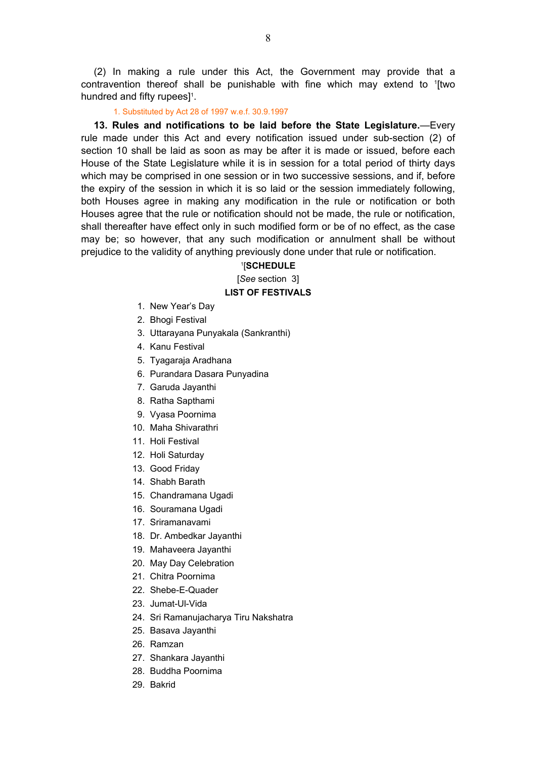<span id="page-7-0"></span>(2) In making a rule under this Act, the Government may provide that a contravention thereof shall be punishable with fine which may extend to 1 [two hundred and fifty rupees]<sup>1</sup>.

1. Substituted by Act 28 of 1997 w.e.f. 30.9.1997

**13. Rules and notifications to be laid before the State Legislature.**—Every rule made under this Act and every notification issued under sub-section (2) of section 10 shall be laid as soon as may be after it is made or issued, before each House of the State Legislature while it is in session for a total period of thirty days which may be comprised in one session or in two successive sessions, and if, before the expiry of the session in which it is so laid or the session immediately following, both Houses agree in making any modification in the rule or notification or both Houses agree that the rule or notification should not be made, the rule or notification, shall thereafter have effect only in such modified form or be of no effect, as the case may be; so however, that any such modification or annulment shall be without prejudice to the validity of anything previously done under that rule or notification.

### 1[**SCHEDULE**

[*See* section 3]

## **LIST OF FESTIVALS**

- 1. New Year's Day
- 2. Bhogi Festival
- 3. Uttarayana Punyakala (Sankranthi)
- 4. Kanu Festival
- 5. Tyagaraja Aradhana
- 6. Purandara Dasara Punyadina
- 7. Garuda Jayanthi
- 8. Ratha Sapthami
- 9. Vyasa Poornima
- 10. Maha Shivarathri
- 11. Holi Festival
- 12. Holi Saturday
- 13. Good Friday
- 14. Shabh Barath
- 15. Chandramana Ugadi
- 16. Souramana Ugadi
- 17. Sriramanavami
- 18. Dr. Ambedkar Jayanthi
- 19. Mahaveera Jayanthi
- 20. May Day Celebration
- 21. Chitra Poornima
- 22. Shebe-E-Quader
- 23. Jumat-Ul-Vida
- 24. Sri Ramanujacharya Tiru Nakshatra
- 25. Basava Jayanthi
- 26. Ramzan
- 27. Shankara Jayanthi
- 28. Buddha Poornima
- 29. Bakrid